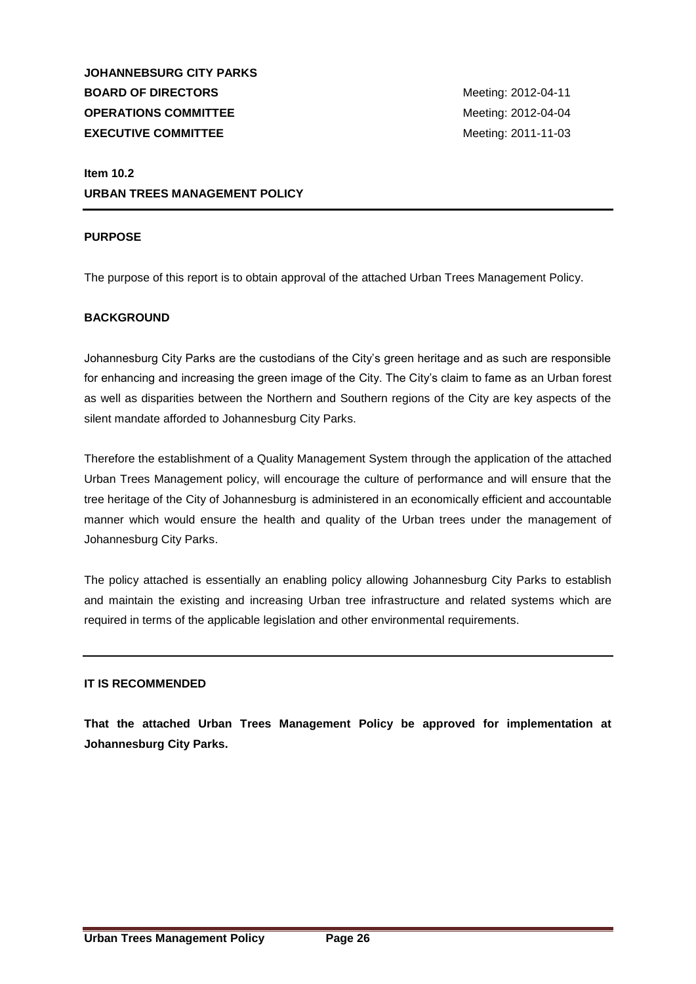**JOHANNEBSURG CITY PARKS BOARD OF DIRECTORS** Meeting: 2012-04-11 **OPERATIONS COMMITTEE** Meeting: 2012-04-04 **EXECUTIVE COMMITTEE** Meeting: 2011-11-03

## **Item 10.2 URBAN TREES MANAGEMENT POLICY**

## **PURPOSE**

The purpose of this report is to obtain approval of the attached Urban Trees Management Policy.

## **BACKGROUND**

Johannesburg City Parks are the custodians of the City's green heritage and as such are responsible for enhancing and increasing the green image of the City. The City's claim to fame as an Urban forest as well as disparities between the Northern and Southern regions of the City are key aspects of the silent mandate afforded to Johannesburg City Parks.

Therefore the establishment of a Quality Management System through the application of the attached Urban Trees Management policy, will encourage the culture of performance and will ensure that the tree heritage of the City of Johannesburg is administered in an economically efficient and accountable manner which would ensure the health and quality of the Urban trees under the management of Johannesburg City Parks.

The policy attached is essentially an enabling policy allowing Johannesburg City Parks to establish and maintain the existing and increasing Urban tree infrastructure and related systems which are required in terms of the applicable legislation and other environmental requirements.

## **IT IS RECOMMENDED**

**That the attached Urban Trees Management Policy be approved for implementation at Johannesburg City Parks.**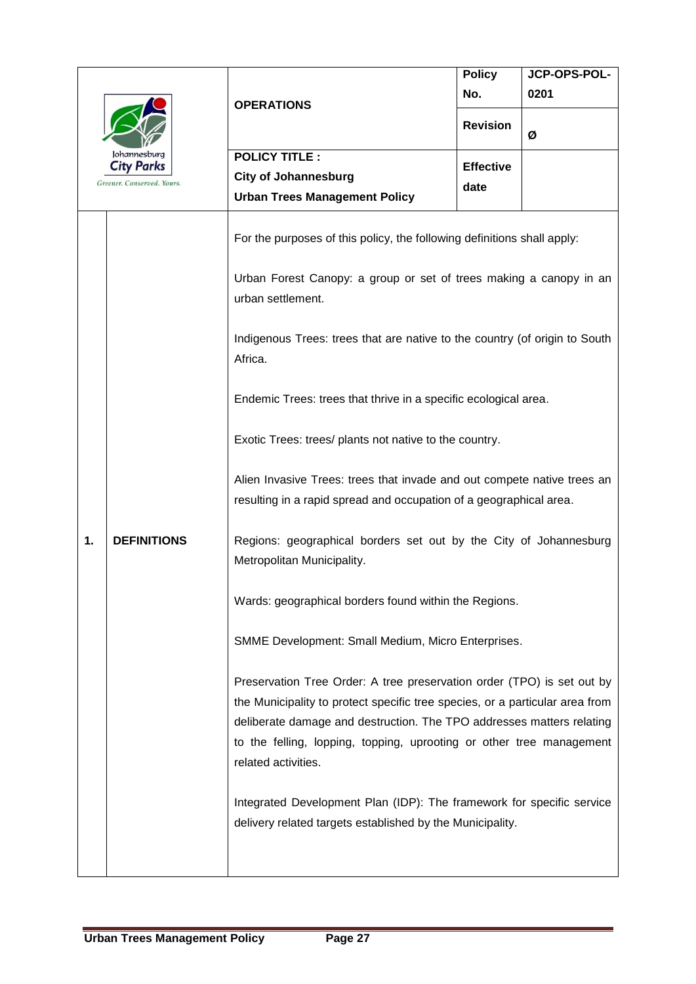| Johannesburg |                                                 | <b>OPERATIONS</b>                                                                                                                                                                                                                                                                                                                                                                        | <b>Policy</b>    | JCP-OPS-POL- |
|--------------|-------------------------------------------------|------------------------------------------------------------------------------------------------------------------------------------------------------------------------------------------------------------------------------------------------------------------------------------------------------------------------------------------------------------------------------------------|------------------|--------------|
|              |                                                 |                                                                                                                                                                                                                                                                                                                                                                                          | No.              | 0201         |
|              |                                                 |                                                                                                                                                                                                                                                                                                                                                                                          | <b>Revision</b>  | Ø            |
|              |                                                 | <b>POLICY TITLE:</b>                                                                                                                                                                                                                                                                                                                                                                     |                  |              |
|              | <b>City Parks</b><br>Greener. Conserved. Yours. | <b>City of Johannesburg</b>                                                                                                                                                                                                                                                                                                                                                              | <b>Effective</b> |              |
|              |                                                 | <b>Urban Trees Management Policy</b>                                                                                                                                                                                                                                                                                                                                                     | date             |              |
|              | <b>DEFINITIONS</b>                              | For the purposes of this policy, the following definitions shall apply:<br>Urban Forest Canopy: a group or set of trees making a canopy in an<br>urban settlement.<br>Indigenous Trees: trees that are native to the country (of origin to South<br>Africa.<br>Endemic Trees: trees that thrive in a specific ecological area.<br>Exotic Trees: trees/ plants not native to the country. |                  |              |
| 1.           |                                                 | Alien Invasive Trees: trees that invade and out compete native trees an<br>resulting in a rapid spread and occupation of a geographical area.<br>Regions: geographical borders set out by the City of Johannesburg<br>Metropolitan Municipality.                                                                                                                                         |                  |              |
|              |                                                 | Wards: geographical borders found within the Regions.                                                                                                                                                                                                                                                                                                                                    |                  |              |
|              |                                                 | SMME Development: Small Medium, Micro Enterprises.                                                                                                                                                                                                                                                                                                                                       |                  |              |
|              |                                                 | Preservation Tree Order: A tree preservation order (TPO) is set out by<br>the Municipality to protect specific tree species, or a particular area from<br>deliberate damage and destruction. The TPO addresses matters relating<br>to the felling, lopping, topping, uprooting or other tree management<br>related activities.                                                           |                  |              |
|              |                                                 | Integrated Development Plan (IDP): The framework for specific service<br>delivery related targets established by the Municipality.                                                                                                                                                                                                                                                       |                  |              |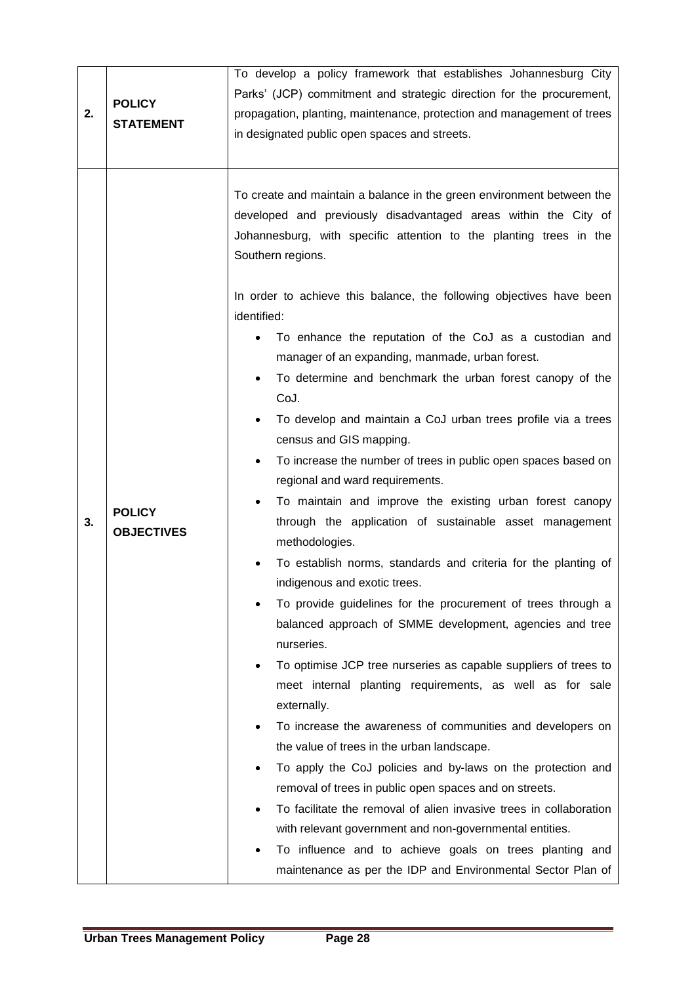| Southern regions.<br>identified:<br>manager of an expanding, manmade, urban forest.<br>$\bullet$<br>CoJ.<br>$\bullet$<br>census and GIS mapping.<br>$\bullet$<br>regional and ward requirements.<br><b>POLICY</b><br>3.<br><b>OBJECTIVES</b><br>methodologies.<br>indigenous and exotic trees.<br>nurseries.<br>$\bullet$<br>externally.<br>$\bullet$<br>the value of trees in the urban landscape.<br>removal of trees in public open spaces and on streets. | 2. | <b>POLICY</b><br><b>STATEMENT</b> | To develop a policy framework that establishes Johannesburg City<br>Parks' (JCP) commitment and strategic direction for the procurement,<br>propagation, planting, maintenance, protection and management of trees<br>in designated public open spaces and streets.                                                                                                                                                                                                                                                                                                                                                                                                                                                                                                                                                                                                                                                                                                                                                                                                                                                                                                                                                                                                                                                                                                                           |  |  |
|---------------------------------------------------------------------------------------------------------------------------------------------------------------------------------------------------------------------------------------------------------------------------------------------------------------------------------------------------------------------------------------------------------------------------------------------------------------|----|-----------------------------------|-----------------------------------------------------------------------------------------------------------------------------------------------------------------------------------------------------------------------------------------------------------------------------------------------------------------------------------------------------------------------------------------------------------------------------------------------------------------------------------------------------------------------------------------------------------------------------------------------------------------------------------------------------------------------------------------------------------------------------------------------------------------------------------------------------------------------------------------------------------------------------------------------------------------------------------------------------------------------------------------------------------------------------------------------------------------------------------------------------------------------------------------------------------------------------------------------------------------------------------------------------------------------------------------------------------------------------------------------------------------------------------------------|--|--|
|                                                                                                                                                                                                                                                                                                                                                                                                                                                               |    |                                   | To create and maintain a balance in the green environment between the<br>developed and previously disadvantaged areas within the City of<br>Johannesburg, with specific attention to the planting trees in the<br>In order to achieve this balance, the following objectives have been<br>To enhance the reputation of the CoJ as a custodian and<br>To determine and benchmark the urban forest canopy of the<br>To develop and maintain a CoJ urban trees profile via a trees<br>To increase the number of trees in public open spaces based on<br>To maintain and improve the existing urban forest canopy<br>through the application of sustainable asset management<br>To establish norms, standards and criteria for the planting of<br>To provide guidelines for the procurement of trees through a<br>balanced approach of SMME development, agencies and tree<br>To optimise JCP tree nurseries as capable suppliers of trees to<br>meet internal planting requirements, as well as for sale<br>To increase the awareness of communities and developers on<br>To apply the CoJ policies and by-laws on the protection and<br>To facilitate the removal of alien invasive trees in collaboration<br>with relevant government and non-governmental entities.<br>To influence and to achieve goals on trees planting and<br>maintenance as per the IDP and Environmental Sector Plan of |  |  |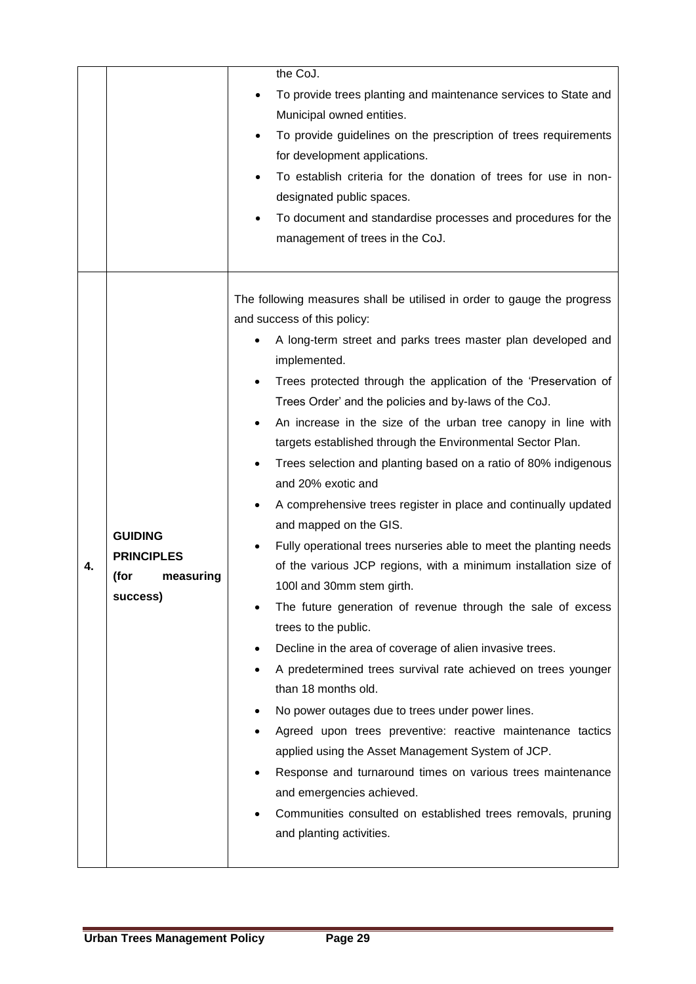|    |                                                                      | the CoJ.<br>To provide trees planting and maintenance services to State and<br>Municipal owned entities.<br>To provide guidelines on the prescription of trees requirements<br>for development applications.<br>To establish criteria for the donation of trees for use in non-<br>designated public spaces.<br>To document and standardise processes and procedures for the<br>management of trees in the CoJ.                                                                                                                                                                                                                                                                                                                                                                                                                                                                                                                                                                                                                                                                                                                                                                                                                                                                                                                                                                                                                    |
|----|----------------------------------------------------------------------|------------------------------------------------------------------------------------------------------------------------------------------------------------------------------------------------------------------------------------------------------------------------------------------------------------------------------------------------------------------------------------------------------------------------------------------------------------------------------------------------------------------------------------------------------------------------------------------------------------------------------------------------------------------------------------------------------------------------------------------------------------------------------------------------------------------------------------------------------------------------------------------------------------------------------------------------------------------------------------------------------------------------------------------------------------------------------------------------------------------------------------------------------------------------------------------------------------------------------------------------------------------------------------------------------------------------------------------------------------------------------------------------------------------------------------|
| 4. | <b>GUIDING</b><br><b>PRINCIPLES</b><br>(for<br>measuring<br>success) | The following measures shall be utilised in order to gauge the progress<br>and success of this policy:<br>A long-term street and parks trees master plan developed and<br>implemented.<br>Trees protected through the application of the 'Preservation of<br>Trees Order' and the policies and by-laws of the CoJ.<br>An increase in the size of the urban tree canopy in line with<br>targets established through the Environmental Sector Plan.<br>Trees selection and planting based on a ratio of 80% indigenous<br>and 20% exotic and<br>A comprehensive trees register in place and continually updated<br>and mapped on the GIS.<br>Fully operational trees nurseries able to meet the planting needs<br>of the various JCP regions, with a minimum installation size of<br>100I and 30mm stem girth.<br>The future generation of revenue through the sale of excess<br>trees to the public.<br>Decline in the area of coverage of alien invasive trees.<br>$\bullet$<br>A predetermined trees survival rate achieved on trees younger<br>than 18 months old.<br>No power outages due to trees under power lines.<br>Agreed upon trees preventive: reactive maintenance tactics<br>applied using the Asset Management System of JCP.<br>Response and turnaround times on various trees maintenance<br>and emergencies achieved.<br>Communities consulted on established trees removals, pruning<br>and planting activities. |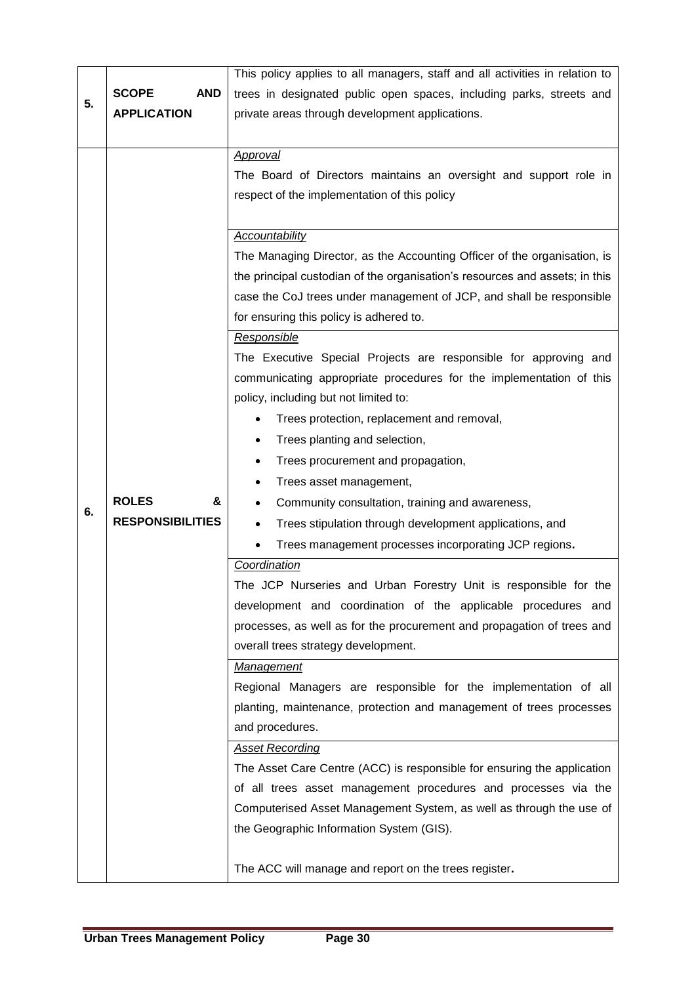|    |                            | This policy applies to all managers, staff and all activities in relation to |  |
|----|----------------------------|------------------------------------------------------------------------------|--|
| 5. | <b>AND</b><br><b>SCOPE</b> | trees in designated public open spaces, including parks, streets and         |  |
|    | <b>APPLICATION</b>         | private areas through development applications.                              |  |
|    |                            |                                                                              |  |
|    |                            | <b>Approval</b>                                                              |  |
|    |                            | The Board of Directors maintains an oversight and support role in            |  |
|    |                            | respect of the implementation of this policy                                 |  |
|    |                            |                                                                              |  |
|    |                            | Accountability                                                               |  |
|    |                            | The Managing Director, as the Accounting Officer of the organisation, is     |  |
|    |                            | the principal custodian of the organisation's resources and assets; in this  |  |
|    |                            | case the CoJ trees under management of JCP, and shall be responsible         |  |
|    |                            | for ensuring this policy is adhered to.                                      |  |
|    |                            | Responsible                                                                  |  |
|    |                            | The Executive Special Projects are responsible for approving and             |  |
|    |                            | communicating appropriate procedures for the implementation of this          |  |
|    |                            | policy, including but not limited to:                                        |  |
|    |                            | Trees protection, replacement and removal,                                   |  |
|    |                            | Trees planting and selection,                                                |  |
|    |                            | Trees procurement and propagation,<br>٠                                      |  |
|    |                            | Trees asset management,                                                      |  |
| 6. | <b>ROLES</b><br>&          | Community consultation, training and awareness,                              |  |
|    | <b>RESPONSIBILITIES</b>    | Trees stipulation through development applications, and                      |  |
|    |                            | Trees management processes incorporating JCP regions.                        |  |
|    |                            | Coordination                                                                 |  |
|    |                            | The JCP Nurseries and Urban Forestry Unit is responsible for the             |  |
|    |                            | development and coordination of the applicable procedures and                |  |
|    |                            | processes, as well as for the procurement and propagation of trees and       |  |
|    |                            | overall trees strategy development.                                          |  |
|    |                            | Management                                                                   |  |
|    |                            | Regional Managers are responsible for the implementation of all              |  |
|    |                            | planting, maintenance, protection and management of trees processes          |  |
|    |                            | and procedures.                                                              |  |
|    |                            | <b>Asset Recording</b>                                                       |  |
|    |                            | The Asset Care Centre (ACC) is responsible for ensuring the application      |  |
|    |                            | of all trees asset management procedures and processes via the               |  |
|    |                            | Computerised Asset Management System, as well as through the use of          |  |
|    |                            | the Geographic Information System (GIS).                                     |  |
|    |                            | The ACC will manage and report on the trees register.                        |  |